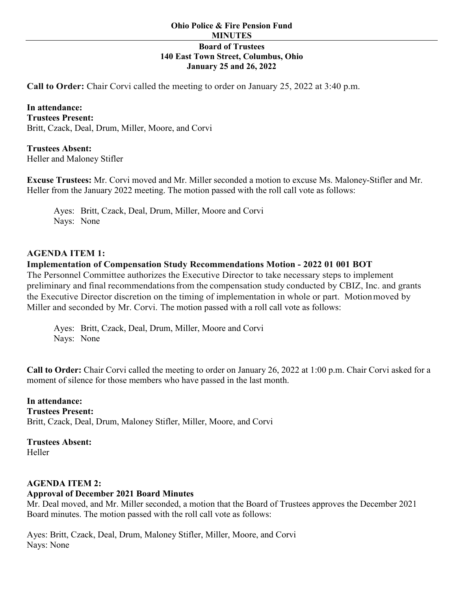## **Board of Trustees 140 East Town Street, Columbus, Ohio January 25 and 26, 2022**

**Call to Order:** Chair Corvi called the meeting to order on January 25, 2022 at 3:40 p.m.

**In attendance: Trustees Present:**  Britt, Czack, Deal, Drum, Miller, Moore, and Corvi

**Trustees Absent:** Heller and Maloney Stifler

**Excuse Trustees:** Mr. Corvi moved and Mr. Miller seconded a motion to excuse Ms. Maloney-Stifler and Mr. Heller from the January 2022 meeting. The motion passed with the roll call vote as follows:

Ayes: Britt, Czack, Deal, Drum, Miller, Moore and Corvi Nays: None

#### **AGENDA ITEM 1:**

#### **Implementation of Compensation Study Recommendations Motion - 2022 01 001 BOT**

The Personnel Committee authorizes the Executive Director to take necessary steps to implement preliminary and final recommendations from the compensation study conducted by CBIZ, Inc. and grants the Executive Director discretion on the timing of implementation in whole or part. Motionmoved by Miller and seconded by Mr. Corvi. The motion passed with a roll call vote as follows:

Ayes: Britt, Czack, Deal, Drum, Miller, Moore and Corvi Nays: None

**Call to Order:** Chair Corvi called the meeting to order on January 26, 2022 at 1:00 p.m. Chair Corvi asked for a moment of silence for those members who have passed in the last month.

**In attendance: Trustees Present:**  Britt, Czack, Deal, Drum, Maloney Stifler, Miller, Moore, and Corvi

**Trustees Absent:** Heller

#### **AGENDA ITEM 2:**

#### **Approval of December 2021 Board Minutes**

Mr. Deal moved, and Mr. Miller seconded, a motion that the Board of Trustees approves the December 2021 Board minutes. The motion passed with the roll call vote as follows:

Ayes: Britt, Czack, Deal, Drum, Maloney Stifler, Miller, Moore, and Corvi Nays: None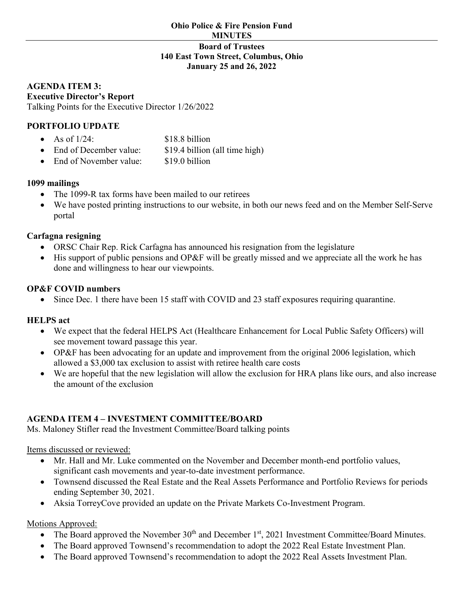### **Board of Trustees 140 East Town Street, Columbus, Ohio January 25 and 26, 2022**

#### **AGENDA ITEM 3: Executive Director's Report** Talking Points for the Executive Director 1/26/2022

# **PORTFOLIO UPDATE**

| As of $1/24$ : | \$18.8 billion |
|----------------|----------------|
|                |                |

- End of December value: \$19.4 billion (all time high)
- End of November value: \$19.0 billion

# **1099 mailings**

- The 1099-R tax forms have been mailed to our retirees
- We have posted printing instructions to our website, in both our news feed and on the Member Self-Serve portal

# **Carfagna resigning**

- ORSC Chair Rep. Rick Carfagna has announced his resignation from the legislature
- His support of public pensions and OP&F will be greatly missed and we appreciate all the work he has done and willingness to hear our viewpoints.

## **OP&F COVID numbers**

• Since Dec. 1 there have been 15 staff with COVID and 23 staff exposures requiring quarantine.

# **HELPS act**

- We expect that the federal HELPS Act (Healthcare Enhancement for Local Public Safety Officers) will see movement toward passage this year.
- OP&F has been advocating for an update and improvement from the original 2006 legislation, which allowed a \$3,000 tax exclusion to assist with retiree health care costs
- We are hopeful that the new legislation will allow the exclusion for HRA plans like ours, and also increase the amount of the exclusion

# **AGENDA ITEM 4 – INVESTMENT COMMITTEE/BOARD**

Ms. Maloney Stifler read the Investment Committee/Board talking points

Items discussed or reviewed:

- Mr. Hall and Mr. Luke commented on the November and December month-end portfolio values, significant cash movements and year-to-date investment performance.
- Townsend discussed the Real Estate and the Real Assets Performance and Portfolio Reviews for periods ending September 30, 2021.
- Aksia TorreyCove provided an update on the Private Markets Co-Investment Program.

# Motions Approved:

- The Board approved the November  $30<sup>th</sup>$  and December 1<sup>st</sup>, 2021 Investment Committee/Board Minutes.
- The Board approved Townsend's recommendation to adopt the 2022 Real Estate Investment Plan.
- The Board approved Townsend's recommendation to adopt the 2022 Real Assets Investment Plan.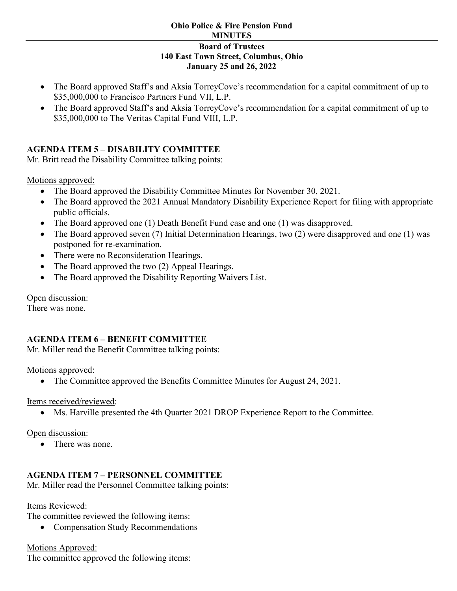#### **Ohio Police & Fire Pension Fund MINUTES**

### **Board of Trustees 140 East Town Street, Columbus, Ohio January 25 and 26, 2022**

- The Board approved Staff's and Aksia TorreyCove's recommendation for a capital commitment of up to \$35,000,000 to Francisco Partners Fund VII, L.P.
- The Board approved Staff's and Aksia TorreyCove's recommendation for a capital commitment of up to \$35,000,000 to The Veritas Capital Fund VIII, L.P.

# **AGENDA ITEM 5 – DISABILITY COMMITTEE**

Mr. Britt read the Disability Committee talking points:

Motions approved:

- The Board approved the Disability Committee Minutes for November 30, 2021.
- The Board approved the 2021 Annual Mandatory Disability Experience Report for filing with appropriate public officials.
- The Board approved one (1) Death Benefit Fund case and one (1) was disapproved.
- The Board approved seven (7) Initial Determination Hearings, two (2) were disapproved and one (1) was postponed for re-examination.
- There were no Reconsideration Hearings.
- The Board approved the two (2) Appeal Hearings.
- The Board approved the Disability Reporting Waivers List.

Open discussion:

There was none.

# **AGENDA ITEM 6 – BENEFIT COMMITTEE**

Mr. Miller read the Benefit Committee talking points:

Motions approved:

• The Committee approved the Benefits Committee Minutes for August 24, 2021.

Items received/reviewed:

• Ms. Harville presented the 4th Quarter 2021 DROP Experience Report to the Committee.

Open discussion:

• There was none.

# **AGENDA ITEM 7 – PERSONNEL COMMITTEE**

Mr. Miller read the Personnel Committee talking points:

Items Reviewed:

The committee reviewed the following items:

• Compensation Study Recommendations

Motions Approved:

The committee approved the following items: